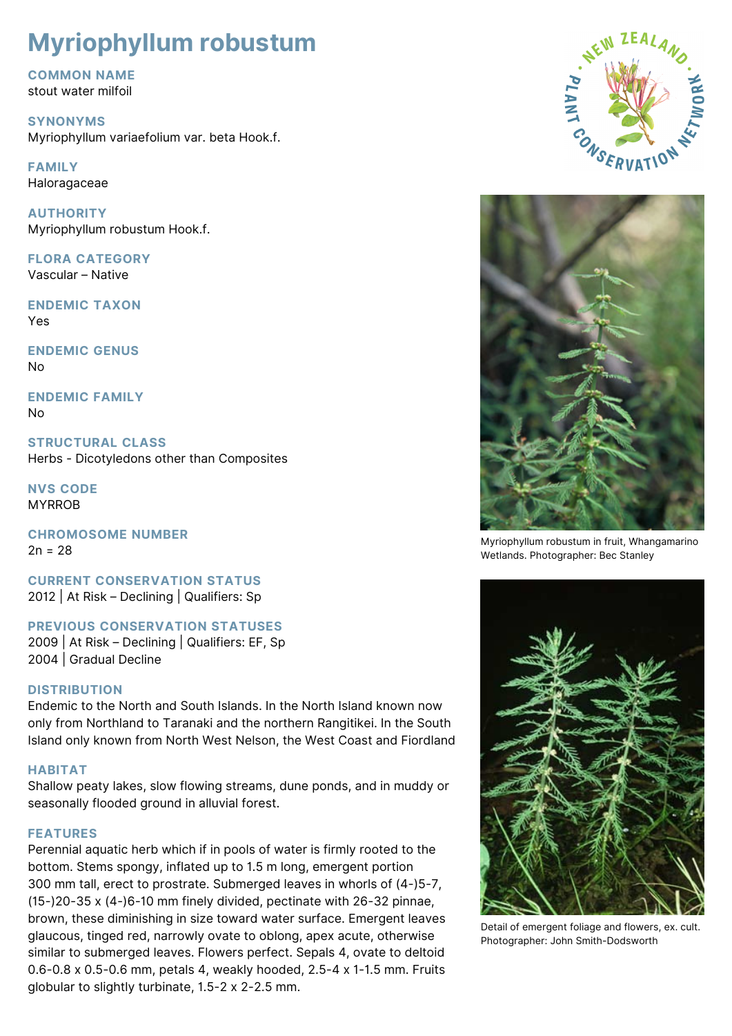# **Myriophyllum robustum**

**COMMON NAME** stout water milfoil

**SYNONYMS** Myriophyllum variaefolium var. beta Hook.f.

**FAMILY Haloragaceae** 

**AUTHORITY** Myriophyllum robustum Hook.f.

**FLORA CATEGORY** Vascular – Native

**ENDEMIC TAXON** Yes

**ENDEMIC GENUS** No

**ENDEMIC FAMILY** No

**STRUCTURAL CLASS** Herbs - Dicotyledons other than Composites

**NVS CODE** MYRROB

**CHROMOSOME NUMBER**  $2n = 28$ 

**CURRENT CONSERVATION STATUS** 2012 | At Risk – Declining | Qualifiers: Sp

**PREVIOUS CONSERVATION STATUSES**

2009 | At Risk – Declining | Qualifiers: EF, Sp 2004 | Gradual Decline

# **DISTRIBUTION**

Endemic to the North and South Islands. In the North Island known now only from Northland to Taranaki and the northern Rangitikei. In the South Island only known from North West Nelson, the West Coast and Fiordland

# **HABITAT**

Shallow peaty lakes, slow flowing streams, dune ponds, and in muddy or seasonally flooded ground in alluvial forest.

#### **FEATURES**

Perennial aquatic herb which if in pools of water is firmly rooted to the bottom. Stems spongy, inflated up to 1.5 m long, emergent portion 300 mm tall, erect to prostrate. Submerged leaves in whorls of (4-)5-7, (15-)20-35 x (4-)6-10 mm finely divided, pectinate with 26-32 pinnae, brown, these diminishing in size toward water surface. Emergent leaves glaucous, tinged red, narrowly ovate to oblong, apex acute, otherwise similar to submerged leaves. Flowers perfect. Sepals 4, ovate to deltoid 0.6-0.8 x 0.5-0.6 mm, petals 4, weakly hooded, 2.5-4 x 1-1.5 mm. Fruits globular to slightly turbinate, 1.5-2 x 2-2.5 mm.





Myriophyllum robustum in fruit, Whangamarino Wetlands. Photographer: Bec Stanley



Detail of emergent foliage and flowers, ex. cult. Photographer: John Smith-Dodsworth